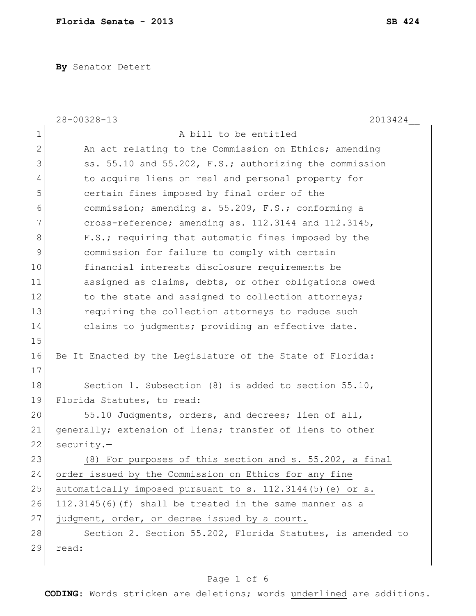**By** Senator Detert

|               | $28 - 00328 - 13$<br>2013424                               |
|---------------|------------------------------------------------------------|
| 1             | A bill to be entitled                                      |
| $\mathbf{2}$  | An act relating to the Commission on Ethics; amending      |
| 3             | ss. 55.10 and 55.202, F.S.; authorizing the commission     |
| 4             | to acquire liens on real and personal property for         |
| 5             | certain fines imposed by final order of the                |
| 6             | commission; amending s. 55.209, F.S.; conforming a         |
| 7             | cross-reference; amending ss. 112.3144 and 112.3145,       |
| 8             | F.S.; requiring that automatic fines imposed by the        |
| $\mathcal{G}$ | commission for failure to comply with certain              |
| 10            | financial interests disclosure requirements be             |
| 11            | assigned as claims, debts, or other obligations owed       |
| 12            | to the state and assigned to collection attorneys;         |
| 13            | requiring the collection attorneys to reduce such          |
| 14            | claims to judgments; providing an effective date.          |
| 15            |                                                            |
| 16            | Be It Enacted by the Legislature of the State of Florida:  |
| 17            |                                                            |
| 18            | Section 1. Subsection (8) is added to section 55.10,       |
| 19            | Florida Statutes, to read:                                 |
| 20            | 55.10 Judgments, orders, and decrees; lien of all,         |
| 21            | generally; extension of liens; transfer of liens to other  |
| 22            | $security.-$                                               |
| 23            | (8) For purposes of this section and s. 55.202, a final    |
| 24            | order issued by the Commission on Ethics for any fine      |
| 25            | automatically imposed pursuant to s. 112.3144(5) (e) or s. |
| 26            | 112.3145(6)(f) shall be treated in the same manner as a    |
| 27            | judgment, order, or decree issued by a court.              |
| 28            | Section 2. Section 55.202, Florida Statutes, is amended to |
| 29            | read:                                                      |
|               |                                                            |

## Page 1 of 6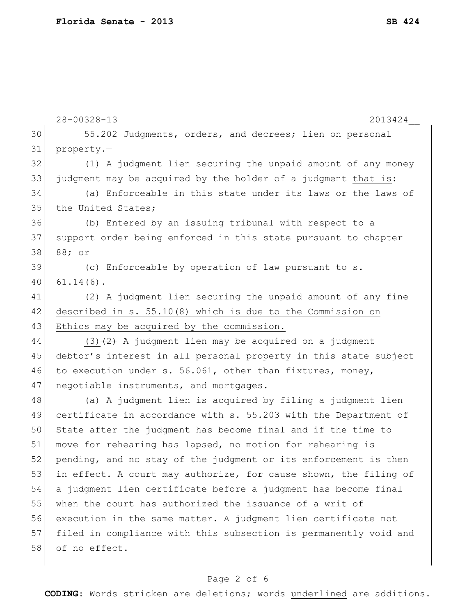|    | $28 - 00328 - 13$<br>2013424                                     |
|----|------------------------------------------------------------------|
| 30 | 55.202 Judgments, orders, and decrees; lien on personal          |
| 31 | property.-                                                       |
| 32 | (1) A judgment lien securing the unpaid amount of any money      |
| 33 | judgment may be acquired by the holder of a judgment that is:    |
| 34 | (a) Enforceable in this state under its laws or the laws of      |
| 35 | the United States;                                               |
| 36 | (b) Entered by an issuing tribunal with respect to a             |
| 37 | support order being enforced in this state pursuant to chapter   |
| 38 | 88; or                                                           |
| 39 | (c) Enforceable by operation of law pursuant to s.               |
| 40 | $61.14(6)$ .                                                     |
| 41 | (2) A judgment lien securing the unpaid amount of any fine       |
| 42 | described in s. 55.10(8) which is due to the Commission on       |
| 43 | Ethics may be acquired by the commission.                        |
| 44 | $(3)$ $(2)$ A judgment lien may be acquired on a judgment        |
| 45 | debtor's interest in all personal property in this state subject |
| 46 | to execution under s. 56.061, other than fixtures, money,        |
| 47 | negotiable instruments, and mortgages.                           |
| 48 | (a) A judgment lien is acquired by filing a judgment lien        |
| 49 | certificate in accordance with s. 55.203 with the Department of  |
| 50 | State after the judgment has become final and if the time to     |
| 51 | move for rehearing has lapsed, no motion for rehearing is        |
| 52 | pending, and no stay of the judgment or its enforcement is then  |
| 53 | in effect. A court may authorize, for cause shown, the filing of |
| 54 | a judgment lien certificate before a judgment has become final   |
| 55 | when the court has authorized the issuance of a writ of          |
| 56 | execution in the same matter. A judgment lien certificate not    |
| 57 | filed in compliance with this subsection is permanently void and |
| 58 | of no effect.                                                    |
|    |                                                                  |

## Page 2 of 6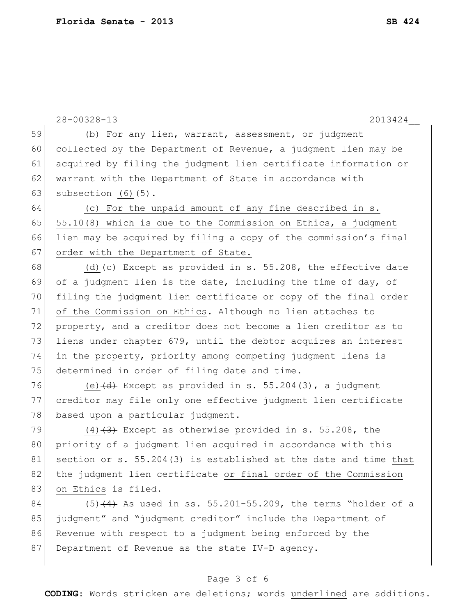|    | $28 - 00328 - 13$<br>2013424                                                    |
|----|---------------------------------------------------------------------------------|
| 59 | (b) For any lien, warrant, assessment, or judgment                              |
| 60 | collected by the Department of Revenue, a judgment lien may be                  |
| 61 | acquired by filing the judgment lien certificate information or                 |
| 62 | warrant with the Department of State in accordance with                         |
| 63 | subsection $(6)$ $(5)$ .                                                        |
| 64 | (c) For the unpaid amount of any fine described in s.                           |
| 65 | 55.10(8) which is due to the Commission on Ethics, a judgment                   |
| 66 | lien may be acquired by filing a copy of the commission's final                 |
| 67 | order with the Department of State.                                             |
| 68 | (d) $\left(\text{e}\right)$ Except as provided in s. 55.208, the effective date |
| 69 | of a judgment lien is the date, including the time of day, of                   |
| 70 | filing the judgment lien certificate or copy of the final order                 |
| 71 | of the Commission on Ethics. Although no lien attaches to                       |
| 72 | property, and a creditor does not become a lien creditor as to                  |
| 73 | liens under chapter 679, until the debtor acquires an interest                  |
| 74 | in the property, priority among competing judgment liens is                     |
| 75 | determined in order of filing date and time.                                    |
| 76 | (e) $\overline{(d)}$ Except as provided in s. 55.204(3), a judgment             |
| 77 | creditor may file only one effective judgment lien certificate                  |
| 78 | based upon a particular judgment.                                               |
| 79 | $(4)$ $(3)$ Except as otherwise provided in s. 55.208, the                      |
| 80 | priority of a judgment lien acquired in accordance with this                    |
| 81 | section or s. 55.204(3) is established at the date and time that                |
| 82 | the judgment lien certificate or final order of the Commission                  |
| 83 | on Ethics is filed.                                                             |
| 84 | $(5)$ $(4)$ As used in ss. 55.201-55.209, the terms "holder of a                |
| 85 | judgment" and "judgment creditor" include the Department of                     |
| 86 | Revenue with respect to a judgment being enforced by the                        |

87 Department of Revenue as the state IV-D agency.

## Page 3 of 6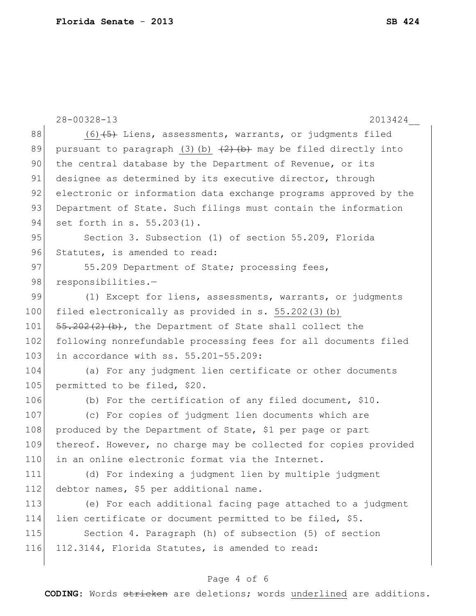|     | $28 - 00328 - 13$<br>2013424                                       |
|-----|--------------------------------------------------------------------|
| 88  | $(6)$ $(5)$ Liens, assessments, warrants, or judgments filed       |
| 89  | pursuant to paragraph (3) (b) $(2)$ (b) may be filed directly into |
| 90  | the central database by the Department of Revenue, or its          |
| 91  | designee as determined by its executive director, through          |
| 92  | electronic or information data exchange programs approved by the   |
| 93  | Department of State. Such filings must contain the information     |
| 94  | set forth in s. 55.203(1).                                         |
| 95  | Section 3. Subsection (1) of section 55.209, Florida               |
| 96  | Statutes, is amended to read:                                      |
| 97  | 55.209 Department of State; processing fees,                       |
| 98  | responsibilities.-                                                 |
| 99  | (1) Except for liens, assessments, warrants, or judgments          |
| 100 | filed electronically as provided in s. 55.202(3)(b)                |
| 101 | $55.202(2)$ (b), the Department of State shall collect the         |
| 102 | following nonrefundable processing fees for all documents filed    |
| 103 | in accordance with ss. 55.201-55.209:                              |
| 104 | (a) For any judgment lien certificate or other documents           |
| 105 | permitted to be filed, \$20.                                       |
| 106 | (b) For the certification of any filed document, \$10.             |
| 107 | (c) For copies of judgment lien documents which are                |
| 108 | produced by the Department of State, \$1 per page or part          |
| 109 | thereof. However, no charge may be collected for copies provided   |
| 110 | in an online electronic format via the Internet.                   |
| 111 | (d) For indexing a judgment lien by multiple judgment              |
| 112 | debtor names, \$5 per additional name.                             |
| 113 | (e) For each additional facing page attached to a judgment         |
| 114 | lien certificate or document permitted to be filed, \$5.           |
| 115 | Section 4. Paragraph (h) of subsection (5) of section              |
| 116 | 112.3144, Florida Statutes, is amended to read:                    |
|     |                                                                    |
|     | Page 4 of 6                                                        |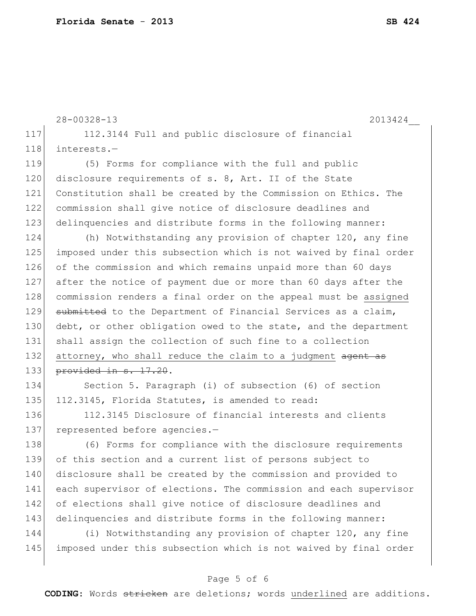|     | $28 - 00328 - 13$<br>2013424                                     |
|-----|------------------------------------------------------------------|
| 117 | 112.3144 Full and public disclosure of financial                 |
| 118 | interests.-                                                      |
| 119 | (5) Forms for compliance with the full and public                |
| 120 | disclosure requirements of s. 8, Art. II of the State            |
| 121 | Constitution shall be created by the Commission on Ethics. The   |
| 122 | commission shall give notice of disclosure deadlines and         |
| 123 | delinquencies and distribute forms in the following manner:      |
| 124 | (h) Notwithstanding any provision of chapter 120, any fine       |
| 125 | imposed under this subsection which is not waived by final order |
| 126 | of the commission and which remains unpaid more than 60 days     |
| 127 | after the notice of payment due or more than 60 days after the   |
| 128 | commission renders a final order on the appeal must be assigned  |
| 129 | submitted to the Department of Financial Services as a claim,    |
| 130 | debt, or other obligation owed to the state, and the department  |
| 131 | shall assign the collection of such fine to a collection         |
| 132 | attorney, who shall reduce the claim to a judgment agent as      |
| 133 | provided in s. 17.20.                                            |
| 134 | Section 5. Paragraph (i) of subsection (6) of section            |
| 135 | 112.3145, Florida Statutes, is amended to read:                  |
| 136 | 112.3145 Disclosure of financial interests and clients           |
| 137 | represented before agencies.-                                    |
| 138 | (6) Forms for compliance with the disclosure requirements        |
| 139 | of this section and a current list of persons subject to         |
| 140 | disclosure shall be created by the commission and provided to    |
| 141 | each supervisor of elections. The commission and each supervisor |
| 142 | of elections shall give notice of disclosure deadlines and       |

144 (i) Notwithstanding any provision of chapter 120, any fine 145 imposed under this subsection which is not waived by final order

143 delinquencies and distribute forms in the following manner:

## Page 5 of 6